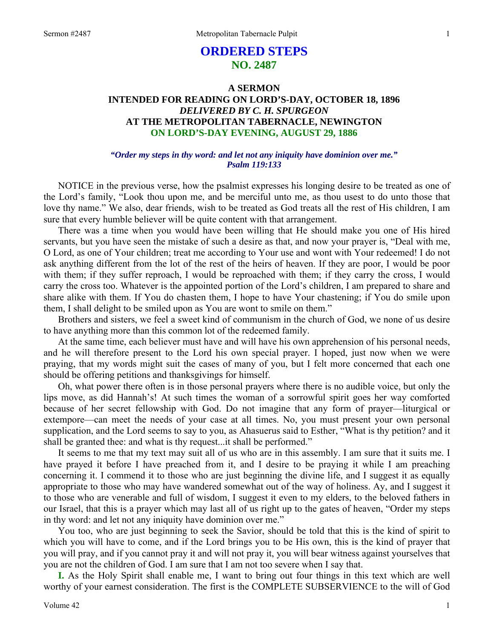# **ORDERED STEPS NO. 2487**

# **A SERMON INTENDED FOR READING ON LORD'S-DAY, OCTOBER 18, 1896**  *DELIVERED BY C. H. SPURGEON*  **AT THE METROPOLITAN TABERNACLE, NEWINGTON ON LORD'S-DAY EVENING, AUGUST 29, 1886**

#### *"Order my steps in thy word: and let not any iniquity have dominion over me." Psalm 119:133*

NOTICE in the previous verse, how the psalmist expresses his longing desire to be treated as one of the Lord's family, "Look thou upon me, and be merciful unto me, as thou usest to do unto those that love thy name." We also, dear friends, wish to be treated as God treats all the rest of His children, I am sure that every humble believer will be quite content with that arrangement.

There was a time when you would have been willing that He should make you one of His hired servants, but you have seen the mistake of such a desire as that, and now your prayer is, "Deal with me, O Lord, as one of Your children; treat me according to Your use and wont with Your redeemed! I do not ask anything different from the lot of the rest of the heirs of heaven. If they are poor, I would be poor with them; if they suffer reproach, I would be reproached with them; if they carry the cross, I would carry the cross too. Whatever is the appointed portion of the Lord's children, I am prepared to share and share alike with them. If You do chasten them, I hope to have Your chastening; if You do smile upon them, I shall delight to be smiled upon as You are wont to smile on them."

Brothers and sisters, we feel a sweet kind of communism in the church of God, we none of us desire to have anything more than this common lot of the redeemed family.

At the same time, each believer must have and will have his own apprehension of his personal needs, and he will therefore present to the Lord his own special prayer. I hoped, just now when we were praying, that my words might suit the cases of many of you, but I felt more concerned that each one should be offering petitions and thanksgivings for himself.

Oh, what power there often is in those personal prayers where there is no audible voice, but only the lips move, as did Hannah's! At such times the woman of a sorrowful spirit goes her way comforted because of her secret fellowship with God. Do not imagine that any form of prayer—liturgical or extempore—can meet the needs of your case at all times. No, you must present your own personal supplication, and the Lord seems to say to you, as Ahasuerus said to Esther, "What is thy petition? and it shall be granted thee: and what is thy request...it shall be performed."

It seems to me that my text may suit all of us who are in this assembly. I am sure that it suits me. I have prayed it before I have preached from it, and I desire to be praying it while I am preaching concerning it. I commend it to those who are just beginning the divine life, and I suggest it as equally appropriate to those who may have wandered somewhat out of the way of holiness. Ay, and I suggest it to those who are venerable and full of wisdom, I suggest it even to my elders, to the beloved fathers in our Israel, that this is a prayer which may last all of us right up to the gates of heaven, "Order my steps in thy word: and let not any iniquity have dominion over me."

You too, who are just beginning to seek the Savior, should be told that this is the kind of spirit to which you will have to come, and if the Lord brings you to be His own, this is the kind of prayer that you will pray, and if you cannot pray it and will not pray it, you will bear witness against yourselves that you are not the children of God. I am sure that I am not too severe when I say that.

**I.** As the Holy Spirit shall enable me, I want to bring out four things in this text which are well worthy of your earnest consideration. The first is the COMPLETE SUBSERVIENCE to the will of God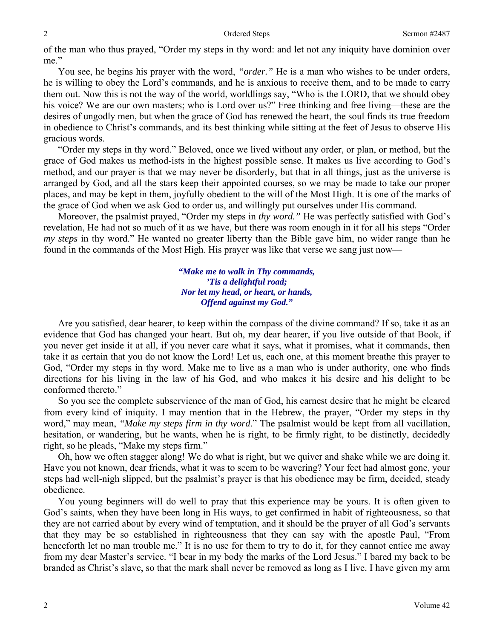of the man who thus prayed, "Order my steps in thy word: and let not any iniquity have dominion over me."

You see, he begins his prayer with the word, *"order."* He is a man who wishes to be under orders, he is willing to obey the Lord's commands, and he is anxious to receive them, and to be made to carry them out. Now this is not the way of the world, worldlings say, "Who is the LORD, that we should obey his voice? We are our own masters; who is Lord over us?" Free thinking and free living—these are the desires of ungodly men, but when the grace of God has renewed the heart, the soul finds its true freedom in obedience to Christ's commands, and its best thinking while sitting at the feet of Jesus to observe His gracious words.

"Order my steps in thy word." Beloved, once we lived without any order, or plan, or method, but the grace of God makes us method-ists in the highest possible sense. It makes us live according to God's method, and our prayer is that we may never be disorderly, but that in all things, just as the universe is arranged by God, and all the stars keep their appointed courses, so we may be made to take our proper places, and may be kept in them, joyfully obedient to the will of the Most High. It is one of the marks of the grace of God when we ask God to order us, and willingly put ourselves under His command.

Moreover, the psalmist prayed, "Order my steps in *thy word."* He was perfectly satisfied with God's revelation, He had not so much of it as we have, but there was room enough in it for all his steps "Order *my steps* in thy word." He wanted no greater liberty than the Bible gave him, no wider range than he found in the commands of the Most High. His prayer was like that verse we sang just now—

> *"Make me to walk in Thy commands, 'Tis a delightful road; Nor let my head, or heart, or hands, Offend against my God."*

Are you satisfied, dear hearer, to keep within the compass of the divine command? If so, take it as an evidence that God has changed your heart. But oh, my dear hearer, if you live outside of that Book, if you never get inside it at all, if you never care what it says, what it promises, what it commands, then take it as certain that you do not know the Lord! Let us, each one, at this moment breathe this prayer to God, "Order my steps in thy word. Make me to live as a man who is under authority, one who finds directions for his living in the law of his God, and who makes it his desire and his delight to be conformed thereto."

So you see the complete subservience of the man of God, his earnest desire that he might be cleared from every kind of iniquity. I may mention that in the Hebrew, the prayer, "Order my steps in thy word," may mean, *"Make my steps firm in thy word*." The psalmist would be kept from all vacillation, hesitation, or wandering, but he wants, when he is right, to be firmly right, to be distinctly, decidedly right, so he pleads, "Make my steps firm."

Oh, how we often stagger along! We do what is right, but we quiver and shake while we are doing it. Have you not known, dear friends, what it was to seem to be wavering? Your feet had almost gone, your steps had well-nigh slipped, but the psalmist's prayer is that his obedience may be firm, decided, steady obedience.

You young beginners will do well to pray that this experience may be yours. It is often given to God's saints, when they have been long in His ways, to get confirmed in habit of righteousness, so that they are not carried about by every wind of temptation, and it should be the prayer of all God's servants that they may be so established in righteousness that they can say with the apostle Paul, "From henceforth let no man trouble me." It is no use for them to try to do it, for they cannot entice me away from my dear Master's service. "I bear in my body the marks of the Lord Jesus." I bared my back to be branded as Christ's slave, so that the mark shall never be removed as long as I live. I have given my arm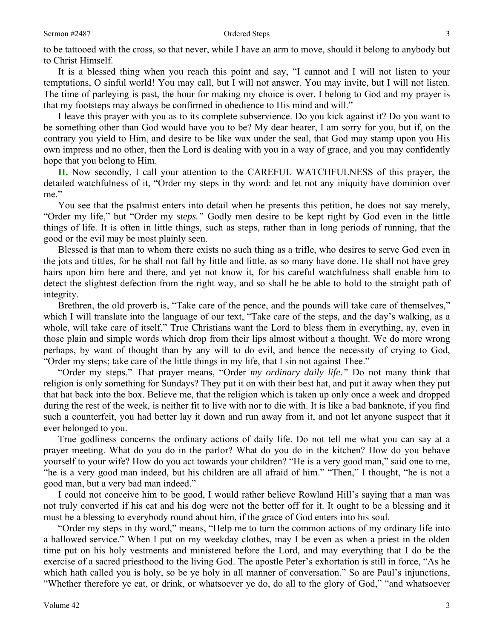#### Sermon #2487 3

to be tattooed with the cross, so that never, while I have an arm to move, should it belong to anybody but to Christ Himself.

It is a blessed thing when you reach this point and say, "I cannot and I will not listen to your temptations, O sinful world! You may call, but I will not answer. You may invite, but I will not listen. The time of parleying is past, the hour for making my choice is over. I belong to God and my prayer is that my footsteps may always be confirmed in obedience to His mind and will."

I leave this prayer with you as to its complete subservience. Do you kick against it? Do you want to be something other than God would have you to be? My dear hearer, I am sorry for you, but if, on the contrary you yield to Him, and desire to be like wax under the seal, that God may stamp upon you His own impress and no other, then the Lord is dealing with you in a way of grace, and you may confidently hope that you belong to Him.

**II.** Now secondly, I call your attention to the CAREFUL WATCHFULNESS of this prayer, the detailed watchfulness of it, "Order my steps in thy word: and let not any iniquity have dominion over me."

You see that the psalmist enters into detail when he presents this petition, he does not say merely, "Order my life," but "Order my *steps."* Godly men desire to be kept right by God even in the little things of life. It is often in little things, such as steps, rather than in long periods of running, that the good or the evil may be most plainly seen.

Blessed is that man to whom there exists no such thing as a trifle, who desires to serve God even in the jots and tittles, for he shall not fall by little and little, as so many have done. He shall not have grey hairs upon him here and there, and yet not know it, for his careful watchfulness shall enable him to detect the slightest defection from the right way, and so shall he be able to hold to the straight path of integrity.

Brethren, the old proverb is, "Take care of the pence, and the pounds will take care of themselves," which I will translate into the language of our text, "Take care of the steps, and the day's walking, as a whole, will take care of itself." True Christians want the Lord to bless them in everything, ay, even in those plain and simple words which drop from their lips almost without a thought. We do more wrong perhaps, by want of thought than by any will to do evil, and hence the necessity of crying to God, "Order my steps; take care of the little things in my life, that I sin not against Thee."

"Order my steps." That prayer means, "Order *my ordinary daily life."* Do not many think that religion is only something for Sundays? They put it on with their best hat, and put it away when they put that hat back into the box. Believe me, that the religion which is taken up only once a week and dropped during the rest of the week, is neither fit to live with nor to die with. It is like a bad banknote, if you find such a counterfeit, you had better lay it down and run away from it, and not let anyone suspect that it ever belonged to you.

True godliness concerns the ordinary actions of daily life. Do not tell me what you can say at a prayer meeting. What do you do in the parlor? What do you do in the kitchen? How do you behave yourself to your wife? How do you act towards your children? "He is a very good man," said one to me, "he is a very good man indeed, but his children are all afraid of him." "Then," I thought, "he is not a good man, but a very bad man indeed."

I could not conceive him to be good, I would rather believe Rowland Hill's saying that a man was not truly converted if his cat and his dog were not the better off for it. It ought to be a blessing and it must be a blessing to everybody round about him, if the grace of God enters into his soul.

"Order my steps in thy word," means, "Help me to turn the common actions of my ordinary life into a hallowed service." When I put on my weekday clothes, may I be even as when a priest in the olden time put on his holy vestments and ministered before the Lord, and may everything that I do be the exercise of a sacred priesthood to the living God. The apostle Peter's exhortation is still in force, "As he which hath called you is holy, so be ye holy in all manner of conversation." So are Paul's injunctions, "Whether therefore ye eat, or drink, or whatsoever ye do, do all to the glory of God," "and whatsoever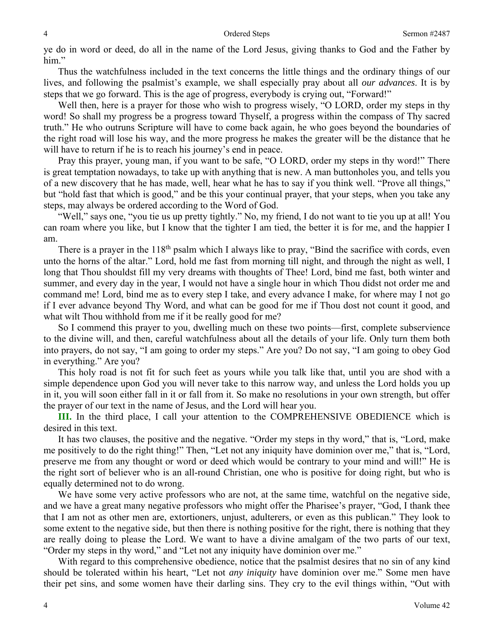ye do in word or deed, do all in the name of the Lord Jesus, giving thanks to God and the Father by him."

Thus the watchfulness included in the text concerns the little things and the ordinary things of our lives, and following the psalmist's example, we shall especially pray about all *our advances*. It is by steps that we go forward. This is the age of progress, everybody is crying out, "Forward!"

Well then, here is a prayer for those who wish to progress wisely, "O LORD, order my steps in thy word! So shall my progress be a progress toward Thyself, a progress within the compass of Thy sacred truth." He who outruns Scripture will have to come back again, he who goes beyond the boundaries of the right road will lose his way, and the more progress he makes the greater will be the distance that he will have to return if he is to reach his journey's end in peace.

Pray this prayer, young man, if you want to be safe, "O LORD, order my steps in thy word!" There is great temptation nowadays, to take up with anything that is new. A man buttonholes you, and tells you of a new discovery that he has made, well, hear what he has to say if you think well. "Prove all things," but "hold fast that which is good," and be this your continual prayer, that your steps, when you take any steps, may always be ordered according to the Word of God.

"Well," says one, "you tie us up pretty tightly." No, my friend, I do not want to tie you up at all! You can roam where you like, but I know that the tighter I am tied, the better it is for me, and the happier I am.

There is a prayer in the  $118<sup>th</sup>$  psalm which I always like to pray, "Bind the sacrifice with cords, even unto the horns of the altar." Lord, hold me fast from morning till night, and through the night as well, I long that Thou shouldst fill my very dreams with thoughts of Thee! Lord, bind me fast, both winter and summer, and every day in the year, I would not have a single hour in which Thou didst not order me and command me! Lord, bind me as to every step I take, and every advance I make, for where may I not go if I ever advance beyond Thy Word, and what can be good for me if Thou dost not count it good, and what wilt Thou withhold from me if it be really good for me?

So I commend this prayer to you, dwelling much on these two points—first, complete subservience to the divine will, and then, careful watchfulness about all the details of your life. Only turn them both into prayers, do not say, "I am going to order my steps." Are you? Do not say, "I am going to obey God in everything." Are you?

This holy road is not fit for such feet as yours while you talk like that, until you are shod with a simple dependence upon God you will never take to this narrow way, and unless the Lord holds you up in it, you will soon either fall in it or fall from it. So make no resolutions in your own strength, but offer the prayer of our text in the name of Jesus, and the Lord will hear you.

**III.** In the third place, I call your attention to the COMPREHENSIVE OBEDIENCE which is desired in this text.

It has two clauses, the positive and the negative. "Order my steps in thy word," that is, "Lord, make me positively to do the right thing!" Then, "Let not any iniquity have dominion over me," that is, "Lord, preserve me from any thought or word or deed which would be contrary to your mind and will!" He is the right sort of believer who is an all-round Christian, one who is positive for doing right, but who is equally determined not to do wrong.

We have some very active professors who are not, at the same time, watchful on the negative side, and we have a great many negative professors who might offer the Pharisee's prayer, "God, I thank thee that I am not as other men are, extortioners, unjust, adulterers, or even as this publican." They look to some extent to the negative side, but then there is nothing positive for the right, there is nothing that they are really doing to please the Lord. We want to have a divine amalgam of the two parts of our text, "Order my steps in thy word," and "Let not any iniquity have dominion over me."

With regard to this comprehensive obedience, notice that the psalmist desires that no sin of any kind should be tolerated within his heart, "Let not *any iniquity* have dominion over me." Some men have their pet sins, and some women have their darling sins. They cry to the evil things within, "Out with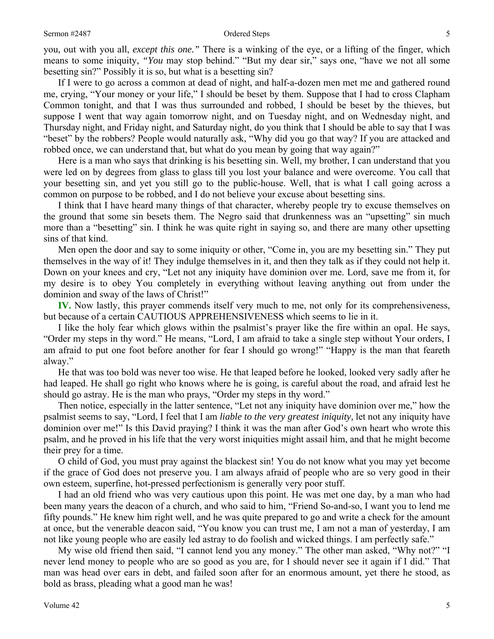you, out with you all, *except this one."* There is a winking of the eye, or a lifting of the finger, which means to some iniquity, *"You* may stop behind." "But my dear sir," says one, "have we not all some besetting sin?" Possibly it is so, but what is a besetting sin?

If I were to go across a common at dead of night, and half-a-dozen men met me and gathered round me, crying, "Your money or your life," I should be beset by them. Suppose that I had to cross Clapham Common tonight, and that I was thus surrounded and robbed, I should be beset by the thieves, but suppose I went that way again tomorrow night, and on Tuesday night, and on Wednesday night, and Thursday night, and Friday night, and Saturday night, do you think that I should be able to say that I was "beset" by the robbers? People would naturally ask, "Why did you go that way? If you are attacked and robbed once, we can understand that, but what do you mean by going that way again?"

Here is a man who says that drinking is his besetting sin. Well, my brother, I can understand that you were led on by degrees from glass to glass till you lost your balance and were overcome. You call that your besetting sin, and yet you still go to the public-house. Well, that is what I call going across a common on purpose to be robbed, and I do not believe your excuse about besetting sins.

I think that I have heard many things of that character, whereby people try to excuse themselves on the ground that some sin besets them. The Negro said that drunkenness was an "upsetting" sin much more than a "besetting" sin. I think he was quite right in saying so, and there are many other upsetting sins of that kind.

Men open the door and say to some iniquity or other, "Come in, you are my besetting sin." They put themselves in the way of it! They indulge themselves in it, and then they talk as if they could not help it. Down on your knees and cry, "Let not any iniquity have dominion over me. Lord, save me from it, for my desire is to obey You completely in everything without leaving anything out from under the dominion and sway of the laws of Christ!"

**IV.** Now lastly, this prayer commends itself very much to me, not only for its comprehensiveness, but because of a certain CAUTIOUS APPREHENSIVENESS which seems to lie in it.

I like the holy fear which glows within the psalmist's prayer like the fire within an opal. He says, "Order my steps in thy word." He means, "Lord, I am afraid to take a single step without Your orders, I am afraid to put one foot before another for fear I should go wrong!" "Happy is the man that feareth alway."

He that was too bold was never too wise. He that leaped before he looked, looked very sadly after he had leaped. He shall go right who knows where he is going, is careful about the road, and afraid lest he should go astray. He is the man who prays, "Order my steps in thy word."

Then notice, especially in the latter sentence, "Let not any iniquity have dominion over me," how the psalmist seems to say, "Lord, I feel that I am *liable to the very greatest iniquity,* let not any iniquity have dominion over me!" Is this David praying? I think it was the man after God's own heart who wrote this psalm, and he proved in his life that the very worst iniquities might assail him, and that he might become their prey for a time.

O child of God, you must pray against the blackest sin! You do not know what you may yet become if the grace of God does not preserve you. I am always afraid of people who are so very good in their own esteem, superfine, hot-pressed perfectionism is generally very poor stuff.

I had an old friend who was very cautious upon this point. He was met one day, by a man who had been many years the deacon of a church, and who said to him, "Friend So-and-so, I want you to lend me fifty pounds." He knew him right well, and he was quite prepared to go and write a check for the amount at once, but the venerable deacon said, "You know you can trust me, I am not a man of yesterday, I am not like young people who are easily led astray to do foolish and wicked things. I am perfectly safe."

My wise old friend then said, "I cannot lend you any money." The other man asked, "Why not?" "I never lend money to people who are so good as you are, for I should never see it again if I did." That man was head over ears in debt, and failed soon after for an enormous amount, yet there he stood, as bold as brass, pleading what a good man he was!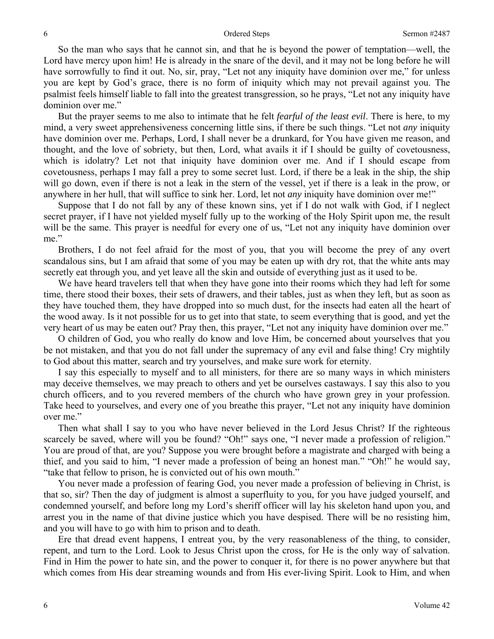So the man who says that he cannot sin, and that he is beyond the power of temptation—well, the Lord have mercy upon him! He is already in the snare of the devil, and it may not be long before he will have sorrowfully to find it out. No, sir, pray, "Let not any iniquity have dominion over me," for unless you are kept by God's grace, there is no form of iniquity which may not prevail against you. The psalmist feels himself liable to fall into the greatest transgression, so he prays, "Let not any iniquity have dominion over me."

But the prayer seems to me also to intimate that he felt *fearful of the least evil*. There is here, to my mind, a very sweet apprehensiveness concerning little sins, if there be such things. "Let not *any* iniquity have dominion over me. Perhaps, Lord, I shall never be a drunkard, for You have given me reason, and thought, and the love of sobriety, but then, Lord, what avails it if I should be guilty of covetousness, which is idolatry? Let not that iniquity have dominion over me. And if I should escape from covetousness, perhaps I may fall a prey to some secret lust. Lord, if there be a leak in the ship, the ship will go down, even if there is not a leak in the stern of the vessel, yet if there is a leak in the prow, or anywhere in her hull, that will suffice to sink her. Lord, let not *any* iniquity have dominion over me!"

Suppose that I do not fall by any of these known sins, yet if I do not walk with God, if I neglect secret prayer, if I have not yielded myself fully up to the working of the Holy Spirit upon me, the result will be the same. This prayer is needful for every one of us, "Let not any iniquity have dominion over me."

Brothers, I do not feel afraid for the most of you, that you will become the prey of any overt scandalous sins, but I am afraid that some of you may be eaten up with dry rot, that the white ants may secretly eat through you, and yet leave all the skin and outside of everything just as it used to be.

We have heard travelers tell that when they have gone into their rooms which they had left for some time, there stood their boxes, their sets of drawers, and their tables, just as when they left, but as soon as they have touched them, they have dropped into so much dust, for the insects had eaten all the heart of the wood away. Is it not possible for us to get into that state, to seem everything that is good, and yet the very heart of us may be eaten out? Pray then, this prayer, "Let not any iniquity have dominion over me."

O children of God, you who really do know and love Him, be concerned about yourselves that you be not mistaken, and that you do not fall under the supremacy of any evil and false thing! Cry mightily to God about this matter, search and try yourselves, and make sure work for eternity.

I say this especially to myself and to all ministers, for there are so many ways in which ministers may deceive themselves, we may preach to others and yet be ourselves castaways. I say this also to you church officers, and to you revered members of the church who have grown grey in your profession. Take heed to yourselves, and every one of you breathe this prayer, "Let not any iniquity have dominion over me."

Then what shall I say to you who have never believed in the Lord Jesus Christ? If the righteous scarcely be saved, where will you be found? "Oh!" says one, "I never made a profession of religion." You are proud of that, are you? Suppose you were brought before a magistrate and charged with being a thief, and you said to him, "I never made a profession of being an honest man." "Oh!" he would say, "take that fellow to prison, he is convicted out of his own mouth."

You never made a profession of fearing God, you never made a profession of believing in Christ, is that so, sir? Then the day of judgment is almost a superfluity to you, for you have judged yourself, and condemned yourself, and before long my Lord's sheriff officer will lay his skeleton hand upon you, and arrest you in the name of that divine justice which you have despised. There will be no resisting him, and you will have to go with him to prison and to death.

Ere that dread event happens, I entreat you, by the very reasonableness of the thing, to consider, repent, and turn to the Lord. Look to Jesus Christ upon the cross, for He is the only way of salvation. Find in Him the power to hate sin, and the power to conquer it, for there is no power anywhere but that which comes from His dear streaming wounds and from His ever-living Spirit. Look to Him, and when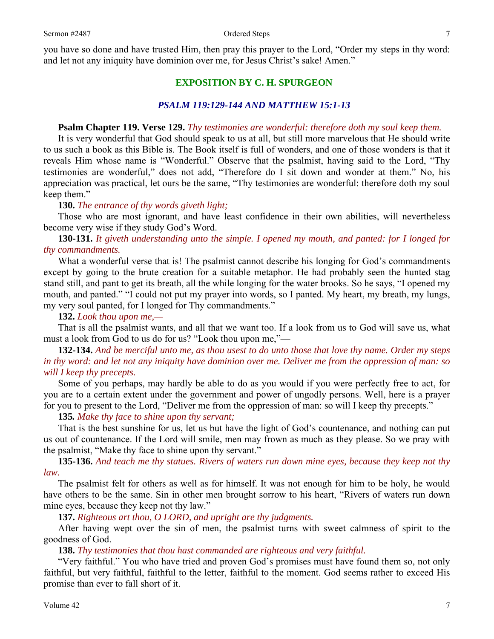you have so done and have trusted Him, then pray this prayer to the Lord, "Order my steps in thy word: and let not any iniquity have dominion over me, for Jesus Christ's sake! Amen."

## **EXPOSITION BY C. H. SPURGEON**

#### *PSALM 119:129-144 AND MATTHEW 15:1-13*

#### **Psalm Chapter 119. Verse 129.** *Thy testimonies are wonderful: therefore doth my soul keep them.*

It is very wonderful that God should speak to us at all, but still more marvelous that He should write to us such a book as this Bible is. The Book itself is full of wonders, and one of those wonders is that it reveals Him whose name is "Wonderful." Observe that the psalmist, having said to the Lord, "Thy testimonies are wonderful," does not add, "Therefore do I sit down and wonder at them." No, his appreciation was practical, let ours be the same, "Thy testimonies are wonderful: therefore doth my soul keep them."

#### **130.** *The entrance of thy words giveth light;*

Those who are most ignorant, and have least confidence in their own abilities, will nevertheless become very wise if they study God's Word.

**130-131.** *It giveth understanding unto the simple. I opened my mouth, and panted: for I longed for thy commandments.* 

What a wonderful verse that is! The psalmist cannot describe his longing for God's commandments except by going to the brute creation for a suitable metaphor. He had probably seen the hunted stag stand still, and pant to get its breath, all the while longing for the water brooks. So he says, "I opened my mouth, and panted." "I could not put my prayer into words, so I panted. My heart, my breath, my lungs, my very soul panted, for I longed for Thy commandments."

**132.** *Look thou upon me,—* 

That is all the psalmist wants, and all that we want too. If a look from us to God will save us, what must a look from God to us do for us? "Look thou upon me,"—

**132-134.** *And be merciful unto me, as thou usest to do unto those that love thy name. Order my steps in thy word: and let not any iniquity have dominion over me. Deliver me from the oppression of man: so will I keep thy precepts.* 

Some of you perhaps, may hardly be able to do as you would if you were perfectly free to act, for you are to a certain extent under the government and power of ungodly persons. Well, here is a prayer for you to present to the Lord, "Deliver me from the oppression of man: so will I keep thy precepts."

#### **135***. Make thy face to shine upon thy servant;*

That is the best sunshine for us, let us but have the light of God's countenance, and nothing can put us out of countenance. If the Lord will smile, men may frown as much as they please. So we pray with the psalmist, "Make thy face to shine upon thy servant."

**135-136.** *And teach me thy statues. Rivers of waters run down mine eyes, because they keep not thy law.* 

The psalmist felt for others as well as for himself. It was not enough for him to be holy, he would have others to be the same. Sin in other men brought sorrow to his heart, "Rivers of waters run down mine eyes, because they keep not thy law."

#### **137.** *Righteous art thou, O LORD, and upright are thy judgments.*

After having wept over the sin of men, the psalmist turns with sweet calmness of spirit to the goodness of God.

#### **138.** *Thy testimonies that thou hast commanded are righteous and very faithful.*

"Very faithful." You who have tried and proven God's promises must have found them so, not only faithful, but very faithful, faithful to the letter, faithful to the moment. God seems rather to exceed His promise than ever to fall short of it.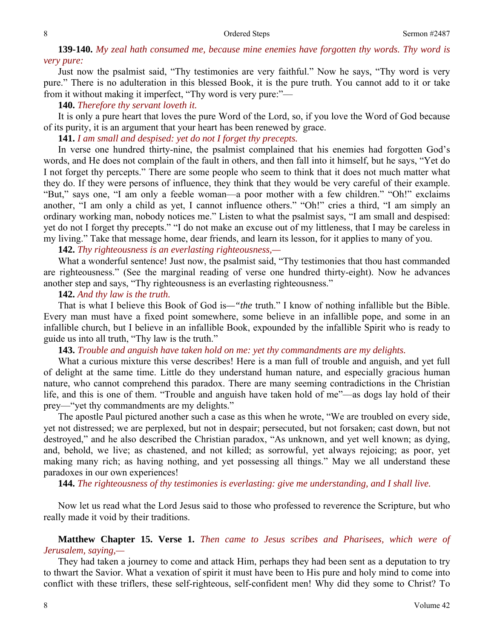# **139-140.** *My zeal hath consumed me, because mine enemies have forgotten thy words. Thy word is very pure:*

Just now the psalmist said, "Thy testimonies are very faithful." Now he says, "Thy word is very pure." There is no adulteration in this blessed Book, it is the pure truth. You cannot add to it or take from it without making it imperfect, "Thy word is very pure:"—

#### **140.** *Therefore thy servant loveth it.*

It is only a pure heart that loves the pure Word of the Lord, so, if you love the Word of God because of its purity, it is an argument that your heart has been renewed by grace.

**141.** *I am small and despised: yet do not I forget thy precepts.* 

In verse one hundred thirty-nine, the psalmist complained that his enemies had forgotten God's words, and He does not complain of the fault in others, and then fall into it himself, but he says, "Yet do I not forget thy percepts." There are some people who seem to think that it does not much matter what they do. If they were persons of influence, they think that they would be very careful of their example. "But," says one, "I am only a feeble woman—a poor mother with a few children." "Oh!" exclaims another, "I am only a child as yet, I cannot influence others." "Oh!" cries a third, "I am simply an ordinary working man, nobody notices me." Listen to what the psalmist says, "I am small and despised: yet do not I forget thy precepts." "I do not make an excuse out of my littleness, that I may be careless in my living." Take that message home, dear friends, and learn its lesson, for it applies to many of you.

## **142.** *Thy righteousness is an everlasting righteousness,—*

What a wonderful sentence! Just now, the psalmist said, "Thy testimonies that thou hast commanded are righteousness." (See the marginal reading of verse one hundred thirty-eight). Now he advances another step and says, "Thy righteousness is an everlasting righteousness."

#### **142.** *And thy law is the truth.*

That is what I believe this Book of God is*—"the* truth." I know of nothing infallible but the Bible. Every man must have a fixed point somewhere, some believe in an infallible pope, and some in an infallible church, but I believe in an infallible Book, expounded by the infallible Spirit who is ready to guide us into all truth, "Thy law is the truth."

**143.** *Trouble and anguish have taken hold on me: yet thy commandments are my delights.* 

What a curious mixture this verse describes! Here is a man full of trouble and anguish, and yet full of delight at the same time. Little do they understand human nature, and especially gracious human nature, who cannot comprehend this paradox. There are many seeming contradictions in the Christian life, and this is one of them. "Trouble and anguish have taken hold of me"—as dogs lay hold of their prey—"yet thy commandments are my delights."

The apostle Paul pictured another such a case as this when he wrote, "We are troubled on every side, yet not distressed; we are perplexed, but not in despair; persecuted, but not forsaken; cast down, but not destroyed," and he also described the Christian paradox, "As unknown, and yet well known; as dying, and, behold, we live; as chastened, and not killed; as sorrowful, yet always rejoicing; as poor, yet making many rich; as having nothing, and yet possessing all things." May we all understand these paradoxes in our own experiences!

**144.** *The righteousness of thy testimonies is everlasting: give me understanding, and I shall live.* 

Now let us read what the Lord Jesus said to those who professed to reverence the Scripture, but who really made it void by their traditions.

**Matthew Chapter 15. Verse 1.** *Then came to Jesus scribes and Pharisees, which were of Jerusalem, saying,—* 

They had taken a journey to come and attack Him, perhaps they had been sent as a deputation to try to thwart the Savior. What a vexation of spirit it must have been to His pure and holy mind to come into conflict with these triflers, these self-righteous, self-confident men! Why did they some to Christ? To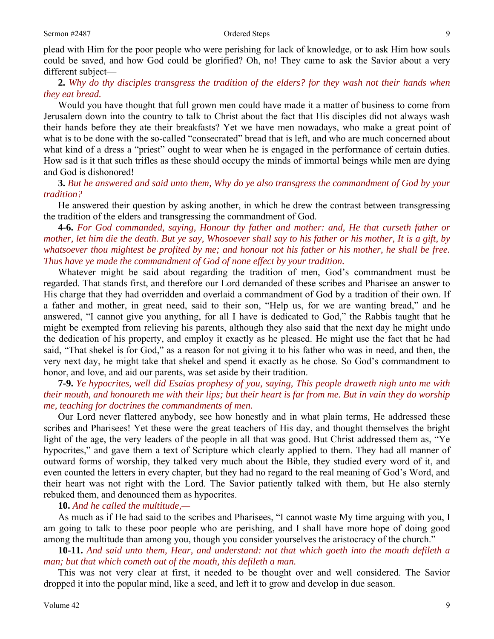plead with Him for the poor people who were perishing for lack of knowledge, or to ask Him how souls could be saved, and how God could be glorified? Oh, no! They came to ask the Savior about a very different subject—

**2.** *Why do thy disciples transgress the tradition of the elders? for they wash not their hands when they eat bread.* 

Would you have thought that full grown men could have made it a matter of business to come from Jerusalem down into the country to talk to Christ about the fact that His disciples did not always wash their hands before they ate their breakfasts? Yet we have men nowadays, who make a great point of what is to be done with the so-called "consecrated" bread that is left, and who are much concerned about what kind of a dress a "priest" ought to wear when he is engaged in the performance of certain duties. How sad is it that such trifles as these should occupy the minds of immortal beings while men are dying and God is dishonored!

**3.** *But he answered and said unto them, Why do ye also transgress the commandment of God by your tradition?* 

He answered their question by asking another, in which he drew the contrast between transgressing the tradition of the elders and transgressing the commandment of God.

**4-6.** *For God commanded, saying, Honour thy father and mother: and, He that curseth father or mother, let him die the death. But ye say, Whosoever shall say to his father or his mother, It is a gift, by whatsoever thou mightest be profited by me; and honour not his father or his mother, he shall be free. Thus have ye made the commandment of God of none effect by your tradition.* 

Whatever might be said about regarding the tradition of men, God's commandment must be regarded. That stands first, and therefore our Lord demanded of these scribes and Pharisee an answer to His charge that they had overridden and overlaid a commandment of God by a tradition of their own. If a father and mother, in great need, said to their son, "Help us, for we are wanting bread," and he answered, "I cannot give you anything, for all I have is dedicated to God," the Rabbis taught that he might be exempted from relieving his parents, although they also said that the next day he might undo the dedication of his property, and employ it exactly as he pleased. He might use the fact that he had said, "That shekel is for God," as a reason for not giving it to his father who was in need, and then, the very next day, he might take that shekel and spend it exactly as he chose. So God's commandment to honor, and love, and aid our parents, was set aside by their tradition.

**7-9.** *Ye hypocrites, well did Esaias prophesy of you, saying, This people draweth nigh unto me with their mouth, and honoureth me with their lips; but their heart is far from me. But in vain they do worship me, teaching for doctrines the commandments of men.* 

Our Lord never flattered anybody, see how honestly and in what plain terms, He addressed these scribes and Pharisees! Yet these were the great teachers of His day, and thought themselves the bright light of the age, the very leaders of the people in all that was good. But Christ addressed them as, "Ye hypocrites," and gave them a text of Scripture which clearly applied to them. They had all manner of outward forms of worship, they talked very much about the Bible, they studied every word of it, and even counted the letters in every chapter, but they had no regard to the real meaning of God's Word, and their heart was not right with the Lord. The Savior patiently talked with them, but He also sternly rebuked them, and denounced them as hypocrites.

**10.** *And he called the multitude,—* 

As much as if He had said to the scribes and Pharisees, "I cannot waste My time arguing with you, I am going to talk to these poor people who are perishing, and I shall have more hope of doing good among the multitude than among you, though you consider yourselves the aristocracy of the church."

**10-11.** *And said unto them, Hear, and understand: not that which goeth into the mouth defileth a man; but that which cometh out of the mouth, this defileth a man.* 

This was not very clear at first, it needed to be thought over and well considered. The Savior dropped it into the popular mind, like a seed, and left it to grow and develop in due season.